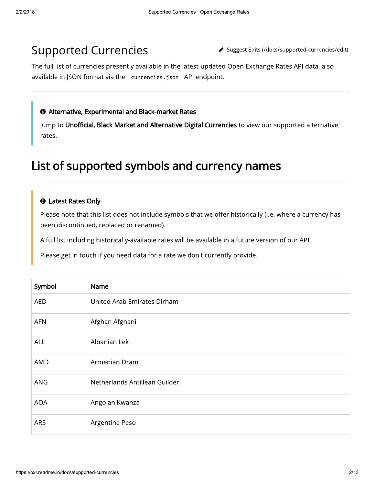# **Supported Currencies**

◆ Suggest Edits (/docs/supported-currencies/edit)

The full list of currencies presently available in the latest-updated Open Exchange Rates API data, also available in JSON format via the currencies. json API endpoint.

#### **O** Alternative, Experimental and Black-market Rates

Jump to Unofficial, Black Market and Alternative Digital Currencies to view our supported alternative rates.

## List of supported symbols and currency names

#### **O** Latest Rates Only

Please note that this list does not include symbols that we offer historically (i.e. where a currency has been discontinued, replaced or renamed).

A full list including historically-available rates will be available in a future version of our API.

Please get in touch if you need data for a rate we don't currently provide.

| Symbol     | Name                          |
|------------|-------------------------------|
| <b>AED</b> | United Arab Emirates Dirham   |
| <b>AFN</b> | Afghan Afghani                |
| ALL ALB    | Albanian Lek                  |
| AMD        | Armenian Dram                 |
| <b>ANG</b> | Netherlands Antillean Guilder |
| <b>AOA</b> | Angolan Kwanza                |
| <b>ARS</b> | Argentine Peso                |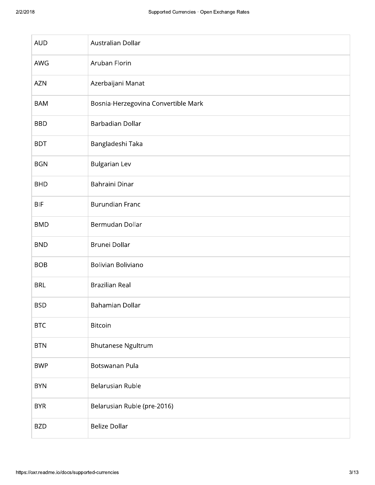| <b>AUD</b> | Australian Dollar                   |
|------------|-------------------------------------|
| AWG        | Aruban Florin                       |
| <b>AZN</b> | Azerbaijani Manat                   |
| <b>BAM</b> | Bosnia-Herzegovina Convertible Mark |
| <b>BBD</b> | Barbadian Dollar                    |
| <b>BDT</b> | Bangladeshi Taka                    |
| <b>BGN</b> | <b>Bulgarian Lev</b>                |
| <b>BHD</b> | Bahraini Dinar                      |
| <b>BIF</b> | <b>Burundian Franc</b>              |
| <b>BMD</b> | Bermudan Dollar                     |
| <b>BND</b> | Brunei Dollar                       |
| <b>BOB</b> | Bolivian Boliviano                  |
| <b>BRL</b> | <b>Brazilian Real</b>               |
| <b>BSD</b> | Bahamian Dollar                     |
| <b>BTC</b> | Bitcoin                             |
| <b>BTN</b> | <b>Bhutanese Ngultrum</b>           |
| <b>BWP</b> | Botswanan Pula                      |
| <b>BYN</b> | <b>Belarusian Ruble</b>             |
| <b>BYR</b> | Belarusian Ruble (pre-2016)         |
| <b>BZD</b> | <b>Belize Dollar</b>                |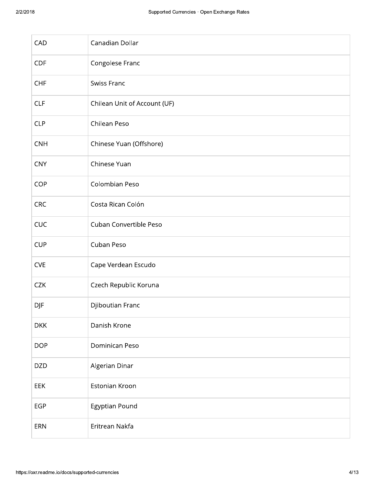| CAD        | Canadian Dollar              |
|------------|------------------------------|
| <b>CDF</b> | Congolese Franc              |
| CHF        | Swiss Franc                  |
| <b>CLF</b> | Chilean Unit of Account (UF) |
| <b>CLP</b> | Chilean Peso                 |
| <b>CNH</b> | Chinese Yuan (Offshore)      |
| <b>CNY</b> | Chinese Yuan                 |
| COP        | Colombian Peso               |
| CRC        | Costa Rican Colón            |
| CUC        | Cuban Convertible Peso       |
| <b>CUP</b> | Cuban Peso                   |
| <b>CVE</b> | Cape Verdean Escudo          |
| <b>CZK</b> | Czech Republic Koruna        |
| <b>DJF</b> | Djiboutian Franc             |
| <b>DKK</b> | Danish Krone                 |
| <b>DOP</b> | Dominican Peso               |
| <b>DZD</b> | Algerian Dinar               |
| EEK        | Estonian Kroon               |
| <b>EGP</b> | Egyptian Pound               |
| ERN        | Eritrean Nakfa               |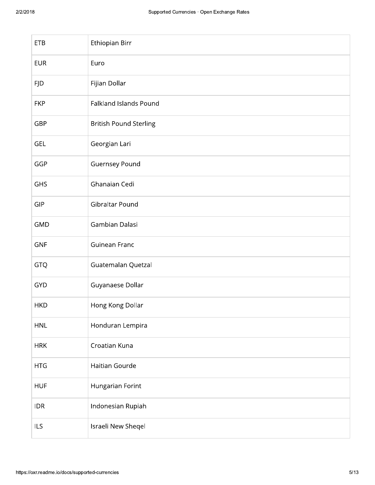| <b>ETB</b> | Ethiopian Birr                |
|------------|-------------------------------|
| <b>EUR</b> | Euro                          |
| <b>FJD</b> | Fijian Dollar                 |
| <b>FKP</b> | Falkland Islands Pound        |
| GBP        | <b>British Pound Sterling</b> |
| <b>GEL</b> | Georgian Lari                 |
| GGP        | <b>Guernsey Pound</b>         |
| GHS        | Ghanaian Cedi                 |
| <b>GIP</b> | Gibraltar Pound               |
| <b>GMD</b> | Gambian Dalasi                |
| <b>GNF</b> | Guinean Franc                 |
| <b>GTQ</b> | Guatemalan Quetzal            |
| <b>GYD</b> | Guyanaese Dollar              |
| <b>HKD</b> | Hong Kong Dollar              |
| <b>HNL</b> | Honduran Lempira              |
| <b>HRK</b> | Croatian Kuna                 |
| <b>HTG</b> | Haitian Gourde                |
| <b>HUF</b> | Hungarian Forint              |
| <b>IDR</b> | Indonesian Rupiah             |
| ILS        | Israeli New Sheqel            |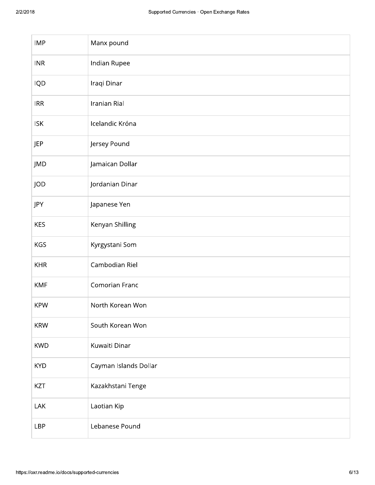| <b>IMP</b> | Manx pound            |
|------------|-----------------------|
| <b>INR</b> | Indian Rupee          |
| IQD        | Iraqi Dinar           |
| <b>IRR</b> | Iranian Rial          |
| <b>ISK</b> | Icelandic Króna       |
| JEP        | Jersey Pound          |
| JMD        | Jamaican Dollar       |
| JOD        | Jordanian Dinar       |
| JPY        | Japanese Yen          |
| <b>KES</b> | Kenyan Shilling       |
| <b>KGS</b> | Kyrgystani Som        |
| <b>KHR</b> | Cambodian Riel        |
| <b>KMF</b> | Comorian Franc        |
| <b>KPW</b> | North Korean Won      |
| <b>KRW</b> | South Korean Won      |
| <b>KWD</b> | Kuwaiti Dinar         |
| <b>KYD</b> | Cayman Islands Dollar |
| KZT        | Kazakhstani Tenge     |
| LAK        | Laotian Kip           |
| <b>LBP</b> | Lebanese Pound        |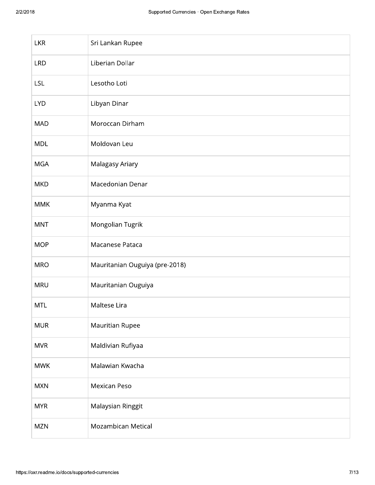| <b>LKR</b> | Sri Lankan Rupee               |
|------------|--------------------------------|
| <b>LRD</b> | Liberian Dollar                |
| <b>LSL</b> | Lesotho Loti                   |
| <b>LYD</b> | Libyan Dinar                   |
| MAD        | Moroccan Dirham                |
| <b>MDL</b> | Moldovan Leu                   |
| <b>MGA</b> | Malagasy Ariary                |
| <b>MKD</b> | Macedonian Denar               |
| <b>MMK</b> | Myanma Kyat                    |
| <b>MNT</b> | Mongolian Tugrik               |
| <b>MOP</b> | Macanese Pataca                |
| <b>MRO</b> | Mauritanian Ouguiya (pre-2018) |
| <b>MRU</b> | Mauritanian Ouguiya            |
| <b>MTL</b> | Maltese Lira                   |
| <b>MUR</b> | Mauritian Rupee                |
| <b>MVR</b> | Maldivian Rufiyaa              |
| <b>MWK</b> | Malawian Kwacha                |
| <b>MXN</b> | Mexican Peso                   |
| <b>MYR</b> | Malaysian Ringgit              |
| <b>MZN</b> | Mozambican Metical             |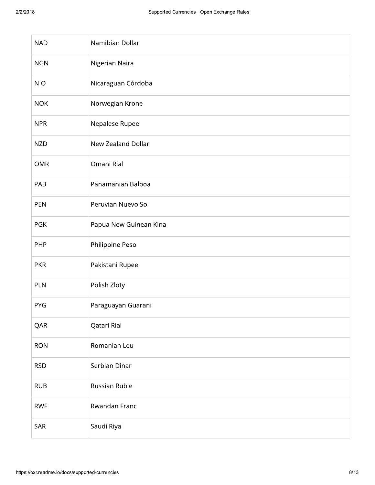| <b>NAD</b> | Namibian Dollar        |
|------------|------------------------|
| <b>NGN</b> | Nigerian Naira         |
| <b>NIO</b> | Nicaraguan Córdoba     |
| <b>NOK</b> | Norwegian Krone        |
| <b>NPR</b> | Nepalese Rupee         |
| <b>NZD</b> | New Zealand Dollar     |
| <b>OMR</b> | Omani Rial             |
| PAB        | Panamanian Balboa      |
| PEN        | Peruvian Nuevo Sol     |
| <b>PGK</b> | Papua New Guinean Kina |
| PHP        | Philippine Peso        |
| <b>PKR</b> | Pakistani Rupee        |
| PLN        | Polish Zloty           |
| <b>PYG</b> | Paraguayan Guarani     |
| QAR        | Qatari Rial            |
| <b>RON</b> | Romanian Leu           |
| <b>RSD</b> | Serbian Dinar          |
| <b>RUB</b> | Russian Ruble          |
| <b>RWF</b> | Rwandan Franc          |
| <b>SAR</b> | Saudi Riyal            |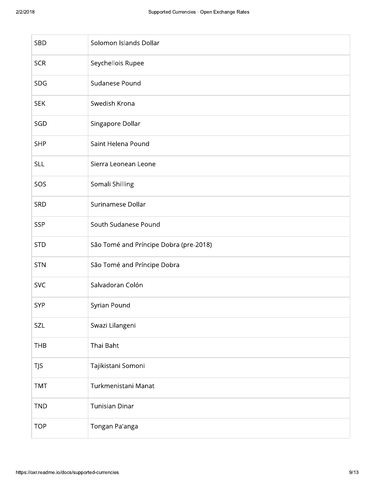| 18         | Supported Currencies · Open Exchange Rates |
|------------|--------------------------------------------|
| <b>SBD</b> | Solomon Islands Dollar                     |
| <b>SCR</b> | Seychellois Rupee                          |
| <b>SDG</b> | Sudanese Pound                             |
| <b>SEK</b> | Swedish Krona                              |
| SGD        | Singapore Dollar                           |
| <b>SHP</b> | Saint Helena Pound                         |
| <b>SLL</b> | Sierra Leonean Leone                       |
| SOS        | Somali Shilling                            |
| <b>SRD</b> | Surinamese Dollar                          |
| <b>SSP</b> | South Sudanese Pound                       |
| <b>STD</b> | São Tomé and Príncipe Dobra (pre-2018)     |
| <b>STN</b> | São Tomé and Príncipe Dobra                |
| <b>SVC</b> | Salvadoran Colón                           |
| <b>SYP</b> | Syrian Pound                               |
| SZL        | Swazi Lilangeni                            |
| <b>THB</b> | Thai Baht                                  |
| <b>TJS</b> | Tajikistani Somoni                         |
| <b>TMT</b> | Turkmenistani Manat                        |
| <b>TND</b> | <b>Tunisian Dinar</b>                      |
| <b>TOP</b> | Tongan Pa'anga                             |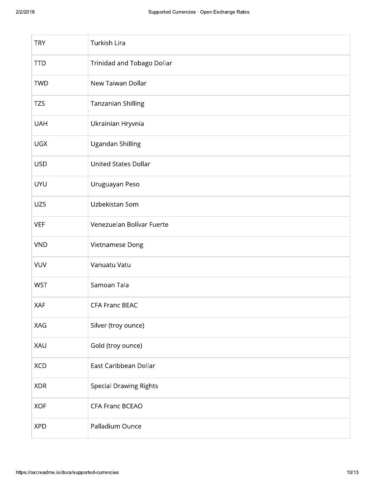| <b>TRY</b> | Turkish Lira                  |
|------------|-------------------------------|
| <b>TTD</b> | Trinidad and Tobago Dollar    |
| <b>TWD</b> | New Taiwan Dollar             |
| <b>TZS</b> | <b>Tanzanian Shilling</b>     |
| <b>UAH</b> | Ukrainian Hryvnia             |
| <b>UGX</b> | Ugandan Shilling              |
| <b>USD</b> | <b>United States Dollar</b>   |
| <b>UYU</b> | Uruguayan Peso                |
| <b>UZS</b> | Uzbekistan Som                |
| <b>VEF</b> | Venezuelan Bolívar Fuerte     |
| <b>VND</b> | Vietnamese Dong               |
| <b>VUV</b> | Vanuatu Vatu                  |
| <b>WST</b> | Samoan Tala                   |
| XAF        | <b>CFA Franc BEAC</b>         |
| XAG        | Silver (troy ounce)           |
| XAU        | Gold (troy ounce)             |
| <b>XCD</b> | East Caribbean Dollar         |
| <b>XDR</b> | <b>Special Drawing Rights</b> |
| <b>XOF</b> | <b>CFA Franc BCEAO</b>        |
| <b>XPD</b> | Palladium Ounce               |